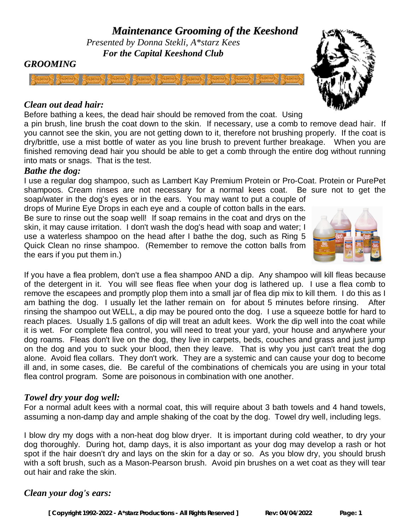## *GROOMING*

### *Clean out dead hair:*

Before bathing a kees, the dead hair should be removed from the coat. Using

a pin brush, line brush the coat down to the skin. If necessary, use a comb to remove dead hair. If you cannot see the skin, you are not getting down to it, therefore not brushing properly. If the coat is dry/brittle, use a mist bottle of water as you line brush to prevent further breakage. When you are finished removing dead hair you should be able to get a comb through the entire dog without running into mats or snags. That is the test.

#### *Bathe the dog:*

I use a regular dog shampoo, such as Lambert Kay Premium Protein or Pro-Coat. Protein or PurePet shampoos. Cream rinses are not necessary for a normal kees coat. Be sure not to get the

soap/water in the dog's eyes or in the ears. You may want to put a couple of drops of Murine Eye Drops in each eye and a couple of cotton balls in the ears. Be sure to rinse out the soap well! If soap remains in the coat and drys on the skin, it may cause irritation. I don't wash the dog's head with soap and water; I use a waterless shampoo on the head after I bathe the dog, such as Ring 5 Quick Clean no rinse shampoo. (Remember to remove the cotton balls from the ears if you put them in.)

If you have a flea problem, don't use a flea shampoo AND a dip. Any shampoo will kill fleas because of the detergent in it. You will see fleas flee when your dog is lathered up. I use a flea comb to remove the escapees and promptly plop them into a small jar of flea dip mix to kill them. I do this as I am bathing the dog. I usually let the lather remain on for about 5 minutes before rinsing. After rinsing the shampoo out WELL, a dip may be poured onto the dog. I use a squeeze bottle for hard to reach places. Usually 1.5 gallons of dip will treat an adult kees. Work the dip well into the coat while it is wet. For complete flea control, you will need to treat your yard, your house and anywhere your dog roams. Fleas don't live on the dog, they live in carpets, beds, couches and grass and just jump on the dog and you to suck your blood, then they leave. That is why you just can't treat the dog alone. Avoid flea collars. They don't work. They are a systemic and can cause your dog to become ill and, in some cases, die. Be careful of the combinations of chemicals you are using in your total flea control program. Some are poisonous in combination with one another.

## *Towel dry your dog well:*

For a normal adult kees with a normal coat, this will require about 3 bath towels and 4 hand towels, assuming a non-damp day and ample shaking of the coat by the dog. Towel dry well, including legs.

I blow dry my dogs with a non-heat dog blow dryer. It is important during cold weather, to dry your dog thoroughly. During hot, damp days, it is also important as your dog may develop a rash or hot spot if the hair doesn't dry and lays on the skin for a day or so. As you blow dry, you should brush with a soft brush, such as a Mason-Pearson brush. Avoid pin brushes on a wet coat as they will tear out hair and rake the skin.

## *Clean your dog's ears:*



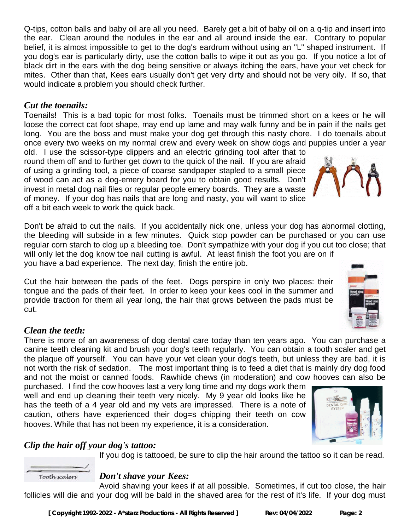Q-tips, cotton balls and baby oil are all you need. Barely get a bit of baby oil on a q-tip and insert into the ear. Clean around the nodules in the ear and all around inside the ear. Contrary to popular belief, it is almost impossible to get to the dog's eardrum without using an "L" shaped instrument. If you dog's ear is particularly dirty, use the cotton balls to wipe it out as you go. If you notice a lot of black dirt in the ears with the dog being sensitive or always itching the ears, have your vet check for mites. Other than that, Kees ears usually don't get very dirty and should not be very oily. If so, that would indicate a problem you should check further.

## *Cut the toenails:*

Toenails! This is a bad topic for most folks. Toenails must be trimmed short on a kees or he will loose the correct cat foot shape, may end up lame and may walk funny and be in pain if the nails get long. You are the boss and must make your dog get through this nasty chore. I do toenails about once every two weeks on my normal crew and every week on show dogs and puppies under a year

old. I use the scissor-type clippers and an electric grinding tool after that to round them off and to further get down to the quick of the nail. If you are afraid of using a grinding tool, a piece of coarse sandpaper stapled to a small piece of wood can act as a dog-emery board for you to obtain good results. Don't invest in metal dog nail files or regular people emery boards. They are a waste of money. If your dog has nails that are long and nasty, you will want to slice off a bit each week to work the quick back.

Don't be afraid to cut the nails. If you accidentally nick one, unless your dog has abnormal clotting, the bleeding will subside in a few minutes. Quick stop powder can be purchased or you can use regular corn starch to clog up a bleeding toe. Don't sympathize with your dog if you cut too close; that will only let the dog know toe nail cutting is awful. At least finish the foot you are on if

you have a bad experience. The next day, finish the entire job.

Cut the hair between the pads of the feet. Dogs perspire in only two places: their tongue and the pads of their feet. In order to keep your kees cool in the summer and provide traction for them all year long, the hair that grows between the pads must be cut.

## *Clean the teeth:*

Tooth scalers

There is more of an awareness of dog dental care today than ten years ago. You can purchase a canine teeth cleaning kit and brush your dog's teeth regularly. You can obtain a tooth scaler and get the plaque off yourself. You can have your vet clean your dog's teeth, but unless they are bad, it is not worth the risk of sedation. The most important thing is to feed a diet that is mainly dry dog food and not the moist or canned foods. Rawhide chews (in moderation) and cow hooves can also be

purchased. I find the cow hooves last a very long time and my dogs work them well and end up cleaning their teeth very nicely. My 9 year old looks like he has the teeth of a 4 year old and my vets are impressed. There is a note of caution, others have experienced their dog=s chipping their teeth on cow hooves. While that has not been my experience, it is a consideration.

# *Clip the hair off your dog's tattoo:*

If you dog is tattooed, be sure to clip the hair around the tattoo so it can be read.

## *Don't shave your Kees:*

Avoid shaving your kees if at all possible. Sometimes, if cut too close, the hair follicles will die and your dog will be bald in the shaved area for the rest of it's life. If your dog must





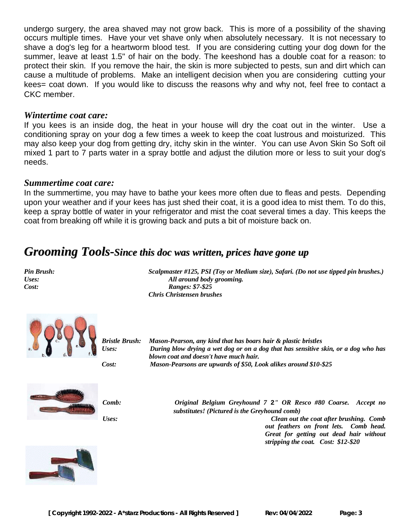undergo surgery, the area shaved may not grow back. This is more of a possibility of the shaving occurs multiple times. Have your vet shave only when absolutely necessary. It is not necessary to shave a dog's leg for a heartworm blood test. If you are considering cutting your dog down for the summer, leave at least 1.5" of hair on the body. The keeshond has a double coat for a reason: to protect their skin. If you remove the hair, the skin is more subjected to pests, sun and dirt which can cause a multitude of problems. Make an intelligent decision when you are considering cutting your kees= coat down. If you would like to discuss the reasons why and why not, feel free to contact a CKC member.

#### *Wintertime coat care:*

If you kees is an inside dog, the heat in your house will dry the coat out in the winter. Use a conditioning spray on your dog a few times a week to keep the coat lustrous and moisturized. This may also keep your dog from getting dry, itchy skin in the winter. You can use Avon Skin So Soft oil mixed 1 part to 7 parts water in a spray bottle and adjust the dilution more or less to suit your dog's needs.

#### *Summertime coat care:*

In the summertime, you may have to bathe your kees more often due to fleas and pests. Depending upon your weather and if your kees has just shed their coat, it is a good idea to mist them. To do this, keep a spray bottle of water in your refrigerator and mist the coat several times a day. This keeps the coat from breaking off while it is growing back and puts a bit of moisture back on.

# *Grooming Tools-Since this doc was written, prices have gone up*

*Pin Brush: Scalpmaster #125, PSI (Toy or Medium size), Safari. (Do not use tipped pin brushes.) Uses: All around body grooming. Cost: Ranges: \$7-\$25 Chris Christensen brushes*



*Bristle Brush: Mason-Pearson, any kind that has boars hair & plastic bristles Uses: During blow drying a wet dog or on a dog that has sensitive skin, or a dog who has blown coat and doesn't have much hair. Cost: Mason-Pearsons are upwards of \$50, Look alikes around \$10-\$25*



*Comb: Original Belgium Greyhound 7* **2***" OR Resco #80 Coarse. Accept no substitutes! (Pictured is the Greyhound comb) Uses: Clean out the coat after brushing. Comb out feathers on front lets. Comb head. Great for getting out dead hair without stripping the coat. Cost: \$12-\$20*

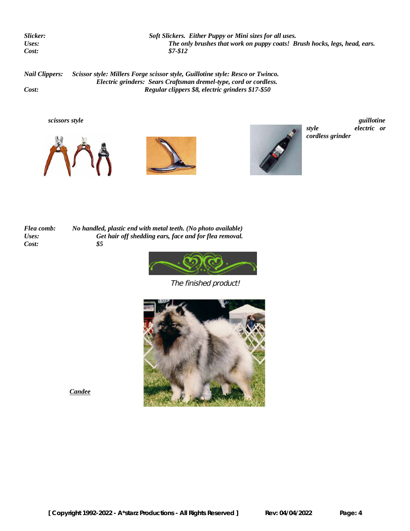*Slicker: Soft Slickers. Either Puppy or Mini sizes for all uses. Uses: The only brushes that work on puppy coats! Brush hocks, legs, head, ears. Cost: \$7-\$12*

*Nail Clippers: Scissor style: Millers Forge scissor style, Guillotine style: Resco or Twinco. Electric grinders: Sears Craftsman dremel-type, cord or cordless. Cost: Regular clippers \$8, electric grinders \$17-\$50*







*style electric or cordless grinder*

*Flea comb: No handled, plastic end with metal teeth. (No photo available) Uses: Get hair off shedding ears, face and for flea removal. Cost: \$5*



The finished product!



*Candee*